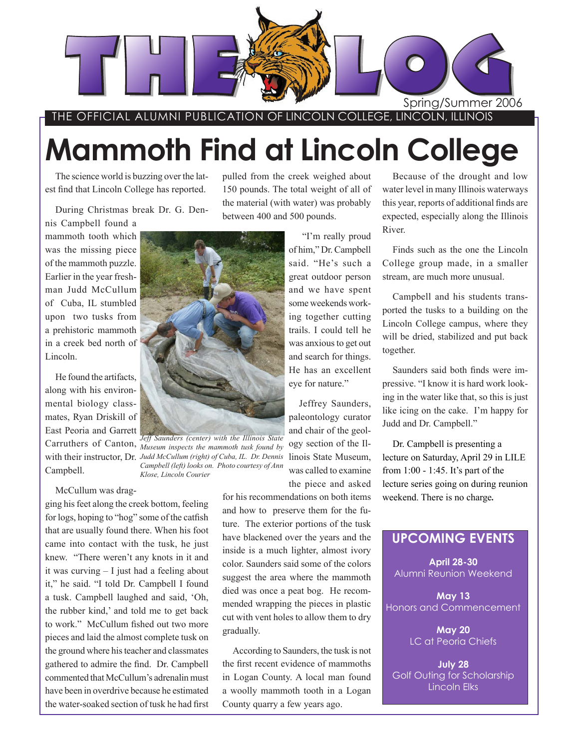

THE OFFICIAL ALUMNI PUBLICATION OF LINCOLN COLLEGE, LINCOLN, ILLINOIS

# **Mammoth Find at Lincoln College**

The science world is buzzing over the latest find that Lincoln College has reported.

During Christmas break Dr. G. Den-

nis Campbell found a mammoth tooth which was the missing piece of the mammoth puzzle. Earlier in the year freshman Judd McCullum of Cuba, IL stumbled upon two tusks from a prehistoric mammoth in a creek bed north of Lincoln.

He found the artifacts, along with his environmental biology classmates, Ryan Driskill of East Peoria and Garrett Campbell.

McCullum was drag-

ging his feet along the creek bottom, feeling for logs, hoping to "hog" some of the catfish that are usually found there. When his foot came into contact with the tusk, he just knew. "There weren't any knots in it and it was curving – I just had a feeling about it," he said. "I told Dr. Campbell I found a tusk. Campbell laughed and said, 'Oh, the rubber kind,' and told me to get back to work." McCullum fished out two more pieces and laid the almost complete tusk on the ground where his teacher and classmates gathered to admire the find. Dr. Campbell commented that McCullum's adrenalin must have been in overdrive because he estimated the water-soaked section of tusk he had first pulled from the creek weighed about 150 pounds. The total weight of all of the material (with water) was probably between 400 and 500 pounds.

> "I'm really proud of him," Dr. Campbell said. "He's such a great outdoor person and we have spent some weekends working together cutting trails. I could tell he was anxious to get out and search for things. He has an excellent eye for nature."

Jeffrey Saunders, paleontology curator and chair of the geology section of the Ilwas called to examine the piece and asked

for his recommendations on both items and how to preserve them for the future. The exterior portions of the tusk have blackened over the years and the inside is a much lighter, almost ivory color. Saunders said some of the colors suggest the area where the mammoth died was once a peat bog. He recommended wrapping the pieces in plastic cut with vent holes to allow them to dry gradually.

According to Saunders, the tusk is not the first recent evidence of mammoths in Logan County. A local man found a woolly mammoth tooth in a Logan County quarry a few years ago.

Because of the drought and low water level in many Illinois waterways this year, reports of additional finds are expected, especially along the Illinois River.

Finds such as the one the Lincoln College group made, in a smaller stream, are much more unusual.

Campbell and his students transported the tusks to a building on the Lincoln College campus, where they will be dried, stabilized and put back together.

Saunders said both finds were impressive. "I know it is hard work looking in the water like that, so this is just like icing on the cake. I'm happy for Judd and Dr. Campbell."

weekend. There is no charge. Dr. Campbell is presenting a lecture on Saturday, April 29 in LILE from 1:00 - 1:45. It's part of the lecture series going on during reunion

### **UPCOMING EVENTS**

**April 28-30** Alumni Reunion Weekend

**May 13** Honors and Commencement

> **May 20** LC at Peoria Chiefs

**July 28** Golf Outing for Scholarship Lincoln Elks



Carruthers of Canton, *Museum inspects the mammoth tusk found by*  with their instructor, Dr. Judd McCullum (right) of Cuba, IL. Dr. Dennis linois State Museum, *Jeff Saunders (center) with the Illinois State Campbell (left) looks on. Photo courtesy of Ann Klose, Lincoln Courier*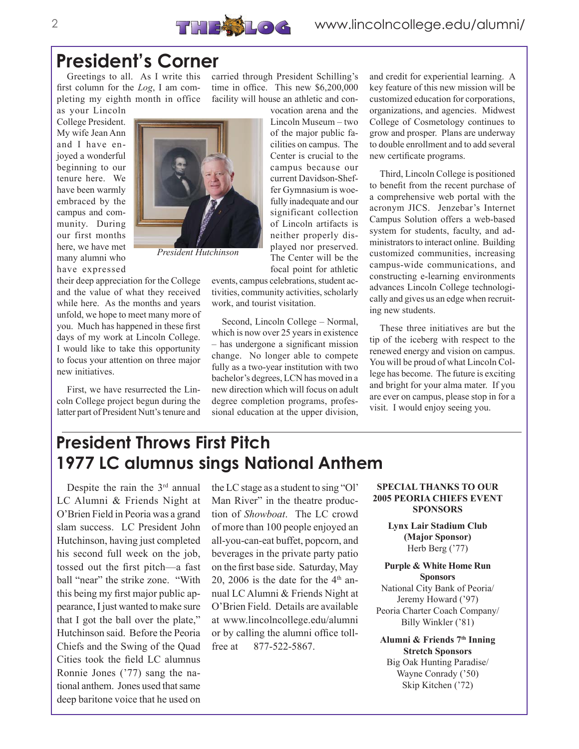### **President's Corner**

Greetings to all. As I write this first column for the *Log*, I am completing my eighth month in office as your Lincoln

College President. My wife Jean Ann and I have enjoyed a wonderful beginning to our tenure here. We have been warmly embraced by the campus and community. During our first months here, we have met many alumni who have expressed



*President Hutchinson*

their deep appreciation for the College and the value of what they received while here. As the months and years unfold, we hope to meet many more of you. Much has happened in these first days of my work at Lincoln College. I would like to take this opportunity to focus your attention on three major new initiatives.

First, we have resurrected the Lincoln College project begun during the latter part of President Nutt's tenure and carried through President Schilling's time in office. This new \$6,200,000 facility will house an athletic and con-

> vocation arena and the Lincoln Museum – two of the major public facilities on campus. The Center is crucial to the campus because our current Davidson-Sheffer Gymnasium is woefully inadequate and our significant collection of Lincoln artifacts is neither properly displayed nor preserved. The Center will be the focal point for athletic

events, campus celebrations, student activities, community activities, scholarly work, and tourist visitation.

Second, Lincoln College – Normal, which is now over 25 years in existence – has undergone a significant mission change. No longer able to compete fully as a two-year institution with two bachelor's degrees, LCN has moved in a new direction which will focus on adult degree completion programs, professional education at the upper division,

and credit for experiential learning. A key feature of this new mission will be customized education for corporations, organizations, and agencies. Midwest College of Cosmetology continues to grow and prosper. Plans are underway to double enrollment and to add several new certificate programs.

Third, Lincoln College is positioned to benefit from the recent purchase of a comprehensive web portal with the acronym JICS. Jenzebar's Internet Campus Solution offers a web-based system for students, faculty, and administrators to interact online. Building customized communities, increasing campus-wide communications, and constructing e-learning environments advances Lincoln College technologically and gives us an edge when recruiting new students.

These three initiatives are but the tip of the iceberg with respect to the renewed energy and vision on campus. You will be proud of what Lincoln College has become. The future is exciting and bright for your alma mater. If you are ever on campus, please stop in for a visit. I would enjoy seeing you.

### **President Throws First Pitch 1977 LC alumnus sings National Anthem**

Despite the rain the 3<sup>rd</sup> annual LC Alumni & Friends Night at O'Brien Field in Peoria was a grand slam success. LC President John Hutchinson, having just completed his second full week on the job, tossed out the first pitch—a fast ball "near" the strike zone. "With this being my first major public appearance, I just wanted to make sure that I got the ball over the plate," Hutchinson said. Before the Peoria Chiefs and the Swing of the Quad Cities took the field LC alumnus Ronnie Jones ('77) sang the national anthem. Jones used that same deep baritone voice that he used on

the LC stage as a student to sing "Ol' Man River" in the theatre production of *Showboat*. The LC crowd of more than 100 people enjoyed an all-you-can-eat buffet, popcorn, and beverages in the private party patio on the first base side. Saturday, May 20, 2006 is the date for the  $4<sup>th</sup>$  annual LC Alumni & Friends Night at O'Brien Field. Details are available at www.lincolncollege.edu/alumni or by calling the alumni office tollfree at 877-522-5867.

#### **SPECIAL THANKS TO OUR 2005 PEORIA CHIEFS EVENT SPONSORS**

**Lynx Lair Stadium Club (Major Sponsor)** Herb Berg ('77)

**Purple & White Home Run Sponsors** National City Bank of Peoria/ Jeremy Howard ('97) Peoria Charter Coach Company/ Billy Winkler ('81)

**Alumni & Friends 7th Inning Stretch Sponsors** Big Oak Hunting Paradise/ Wayne Conrady ('50) Skip Kitchen ('72)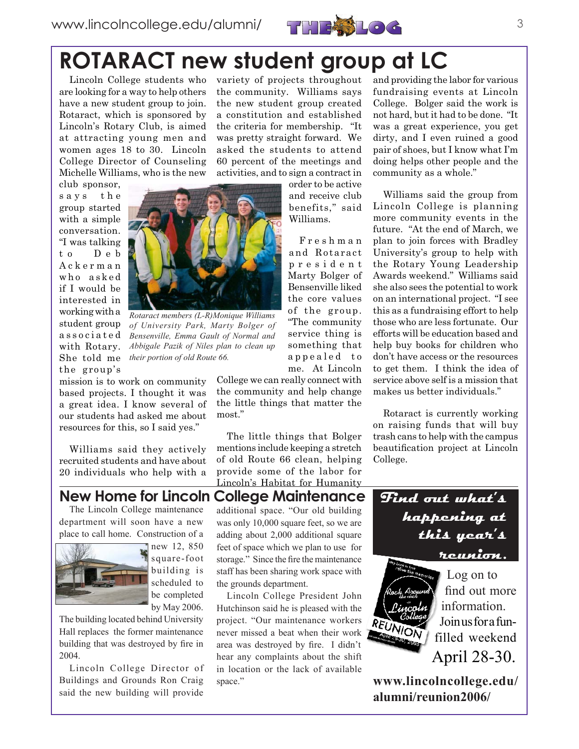

# **ROTARACT new student group at LC**

Lincoln College students who are looking for a way to help others have a new student group to join. Rotaract, which is sponsored by Lincoln's Rotary Club, is aimed at attracting young men and women ages 18 to 30. Lincoln College Director of Counseling Michelle Williams, who is the new

club sponsor, says the group started with a simple conversation. "I was talking t o D e b A c k e r m a n who asked if I would be interested in working with a student group a s s o c i a t e d with Rotary. She told me the group's



*Rotaract members (L-R)Monique Williams of University Park, Marty Bolger of Bensenville, Emma Gault of Normal and Abbigale Pazik of Niles plan to clean up their portion of old Route 66.*

mission is to work on community based projects. I thought it was a great idea. I know several of our students had asked me about resources for this, so I said yes."

Williams said they actively recruited students and have about 20 individuals who help with a variety of projects throughout the community. Williams says the new student group created a constitution and established the criteria for membership. "It was pretty straight forward. We asked the students to attend 60 percent of the meetings and activities, and to sign a contract in

> order to be active and receive club benefits," said Williams.

F r e s h m a n and Rotaract p r e s i d e n t Marty Bolger of Bensenville liked the core values of the group. "The community service thing is something that appealed to me. At Lincoln

College we can really connect with the community and help change the little things that matter the most."

The little things that Bolger mentions include keeping a stretch of old Route 66 clean, helping provide some of the labor for Lincoln's Habitat for Humanity and providing the labor for various fundraising events at Lincoln College. Bolger said the work is not hard, but it had to be done. "It was a great experience, you get dirty, and I even ruined a good pair of shoes, but I know what I'm doing helps other people and the community as a whole."

Williams said the group from Lincoln College is planning more community events in the future. "At the end of March, we plan to join forces with Bradley University's group to help with the Rotary Young Leadership Awards weekend." Williams said she also sees the potential to work on an international project. "I see this as a fundraising effort to help those who are less fortunate. Our efforts will be education based and help buy books for children who don't have access or the resources to get them. I think the idea of service above self is a mission that makes us better individuals."

Rotaract is currently working on raising funds that will buy trash cans to help with the campus beautification project at Lincoln College.

**happening at** 

**this year's** 

#### **New Home for Lincoln College Maintenance Find out what's**

The Lincoln College maintenance department will soon have a new place to call home. Construction of a



 $\blacksquare$  new 12, 850 square-foot building is scheduled to be completed by May 2006.

The building located behind University Hall replaces the former maintenance building that was destroyed by fire in 2004.

Lincoln College Director of Buildings and Grounds Ron Craig said the new building will provide additional space. "Our old building was only 10,000 square feet, so we are adding about 2,000 additional square feet of space which we plan to use for storage." Since the fire the maintenance staff has been sharing work space with the grounds department.

Lincoln College President John Hutchinson said he is pleased with the project. "Our maintenance workers never missed a beat when their work area was destroyed by fire. I didn't hear any complaints about the shift in location or the lack of available space."

**reunion.** Log on to find out more information. Join us for a fun-

filled weekend April 28-30.

**www.lincolncollege.edu/ alumni/reunion2006/**

REUNION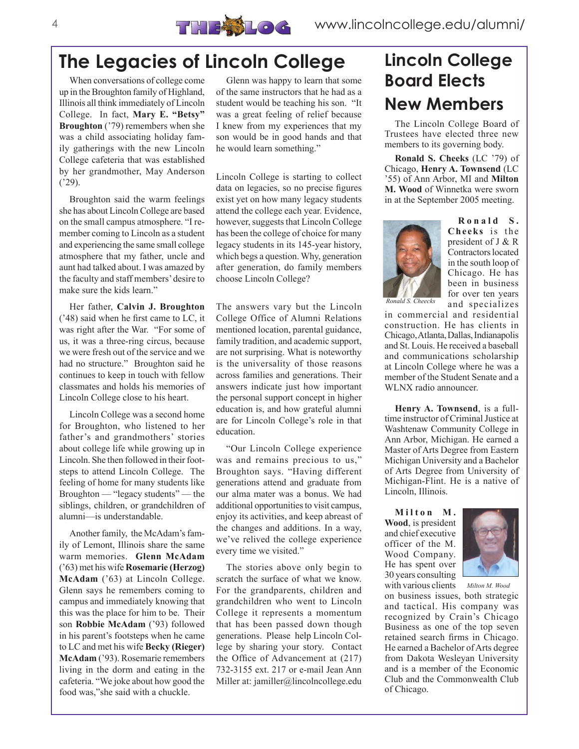

# **The Legacies of Lincoln College**

When conversations of college come up in the Broughton family of Highland, Illinois all think immediately of Lincoln College. In fact, **Mary E. "Betsy" Broughton** ('79) remembers when she was a child associating holiday family gatherings with the new Lincoln College cafeteria that was established by her grandmother, May Anderson ('29).

Broughton said the warm feelings she has about Lincoln College are based on the small campus atmosphere. "I remember coming to Lincoln as a student and experiencing the same small college atmosphere that my father, uncle and aunt had talked about. I was amazed by the faculty and staff members' desire to make sure the kids learn."

Her father, **Calvin J. Broughton** ('48) said when he first came to LC, it was right after the War. "For some of us, it was a three-ring circus, because we were fresh out of the service and we had no structure." Broughton said he continues to keep in touch with fellow classmates and holds his memories of Lincoln College close to his heart.

Lincoln College was a second home for Broughton, who listened to her father's and grandmothers' stories about college life while growing up in Lincoln. She then followed in their footsteps to attend Lincoln College. The feeling of home for many students like Broughton — "legacy students" — the siblings, children, or grandchildren of alumni—is understandable.

Another family, the McAdam's family of Lemont, Illinois share the same warm memories. **Glenn McAdam** ('63) met his wife **Rosemarie (Herzog) McAdam** ('63) at Lincoln College. Glenn says he remembers coming to campus and immediately knowing that this was the place for him to be. Their son **Robbie McAdam** ('93) followed in his parent's footsteps when he came to LC and met his wife **Becky (Rieger) McAdam** ('93). Rosemarie remembers living in the dorm and eating in the cafeteria. "We joke about how good the food was,"she said with a chuckle.

Glenn was happy to learn that some of the same instructors that he had as a student would be teaching his son. "It was a great feeling of relief because I knew from my experiences that my son would be in good hands and that he would learn something."

Lincoln College is starting to collect data on legacies, so no precise figures exist yet on how many legacy students attend the college each year. Evidence, however, suggests that Lincoln College has been the college of choice for many legacy students in its 145-year history, which begs a question. Why, generation after generation, do family members choose Lincoln College?

The answers vary but the Lincoln College Office of Alumni Relations mentioned location, parental guidance, family tradition, and academic support, are not surprising. What is noteworthy is the universality of those reasons across families and generations. Their answers indicate just how important the personal support concept in higher education is, and how grateful alumni are for Lincoln College's role in that education.

"Our Lincoln College experience was and remains precious to us," Broughton says. "Having different generations attend and graduate from our alma mater was a bonus. We had additional opportunities to visit campus, enjoy its activities, and keep abreast of the changes and additions. In a way, we've relived the college experience every time we visited."

The stories above only begin to scratch the surface of what we know. For the grandparents, children and grandchildren who went to Lincoln College it represents a momentum that has been passed down though generations. Please help Lincoln College by sharing your story. Contact the Office of Advancement at (217) 732-3155 ext. 217 or e-mail Jean Ann Miller at: jamiller@lincolncollege.edu

# **Lincoln College Board Elects New Members**

The Lincoln College Board of Trustees have elected three new members to its governing body.

**Ronald S. Cheeks** (LC '79) of Chicago, **Henry A. Townsend** (LC '55) of Ann Arbor, MI and **Milton M. Wood** of Winnetka were sworn in at the September 2005 meeting.



**R o n a l d S . Cheeks** is the president of J & R Contractors located in the south loop of Chicago. He has been in business for over ten years and specializes

in commercial and residential construction. He has clients in Chicago, Atlanta, Dallas, Indianapolis and St. Louis. He received a baseball and communications scholarship at Lincoln College where he was a member of the Student Senate and a WLNX radio announcer.

**Henry A. Townsend**, is a fulltime instructor of Criminal Justice at Washtenaw Community College in Ann Arbor, Michigan. He earned a Master of Arts Degree from Eastern Michigan University and a Bachelor of Arts Degree from University of Michigan-Flint. He is a native of Lincoln, Illinois.

 $M$  ilton M. **Wood**, is president and chief executive officer of the M. Wood Company. He has spent over 30 years consulting



with various clients on business issues, both strategic and tactical. His company was recognized by Crain's Chicago Business as one of the top seven retained search firms in Chicago. He earned a Bachelor of Arts degree from Dakota Wesleyan University and is a member of the Economic Club and the Commonwealth Club of Chicago. *Milton M. Wood*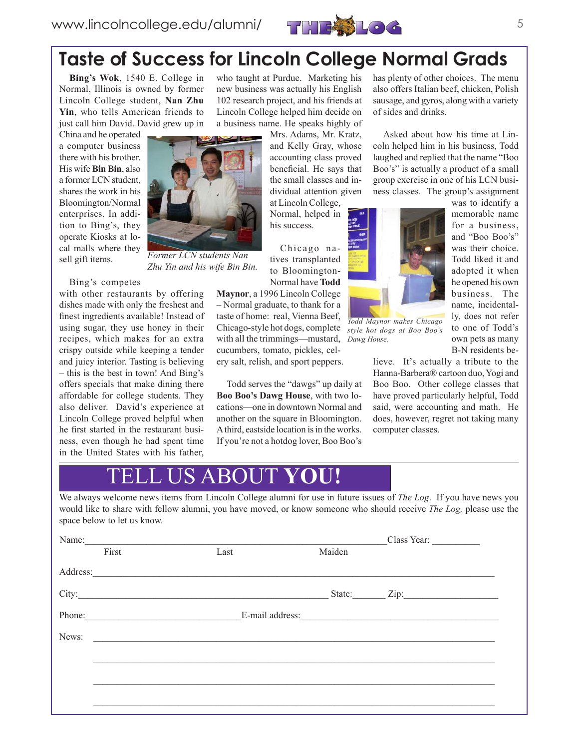

# **Taste of Success for Lincoln College Normal Grads**

**Bing's Wok**, 1540 E. College in Normal, Illinois is owned by former Lincoln College student, **Nan Zhu Yin**, who tells American friends to just call him David. David grew up in

China and he operated a computer business there with his brother. His wife **Bin Bin**, also a former LCN student, shares the work in his Bloomington/Normal enterprises. In addition to Bing's, they operate Kiosks at local malls where they sell gift items.



with other restaurants by offering dishes made with only the freshest and finest ingredients available! Instead of using sugar, they use honey in their recipes, which makes for an extra crispy outside while keeping a tender and juicy interior. Tasting is believing – this is the best in town! And Bing's offers specials that make dining there affordable for college students. They also deliver. David's experience at Lincoln College proved helpful when he first started in the restaurant business, even though he had spent time in the United States with his father,

who taught at Purdue. Marketing his new business was actually his English 102 research project, and his friends at Lincoln College helped him decide on a business name. He speaks highly of

> Mrs. Adams, Mr. Kratz, and Kelly Gray, whose accounting class proved beneficial. He says that the small classes and individual attention given at Lincoln College,

Normal, helped in his success.

Chicago natives transplanted to Bloomington-Normal have **Todd** 

**Maynor**, a 1996 Lincoln College – Normal graduate, to thank for a taste of home: real, Vienna Beef, Chicago-style hot dogs, complete with all the trimmings—mustard, cucumbers, tomato, pickles, celery salt, relish, and sport peppers.

Todd serves the "dawgs" up daily at **Boo Boo's Dawg House**, with two locations—one in downtown Normal and another on the square in Bloomington. A third, eastside location is in the works. If you're not a hotdog lover, Boo Boo's has plenty of other choices. The menu also offers Italian beef, chicken, Polish sausage, and gyros, along with a variety of sides and drinks.

Asked about how his time at Lincoln helped him in his business, Todd laughed and replied that the name "Boo Boo's" is actually a product of a small group exercise in one of his LCN business classes. The group's assignment



*Todd Maynor makes Chicago style hot dogs at Boo Boo's Dawg House.*

was to identify a memorable name for a business, and "Boo Boo's" was their choice Todd liked it and adopted it when he opened his own business. The name, incidentally, does not refer to one of Todd's own pets as many B-N residents be-

lieve. It's actually a tribute to the Hanna-Barbera® cartoon duo, Yogi and Boo Boo. Other college classes that have proved particularly helpful, Todd said, were accounting and math. He does, however, regret not taking many computer classes.

## **S ABOUT YOU!**

We always welcome news items from Lincoln College alumni for use in future issues of *The Log*. If you have news you would like to share with fellow alumni, you have moved, or know someone who should receive *The Log,* please use the space below to let us know.

| Name: |        |      |        | Class Year:             |
|-------|--------|------|--------|-------------------------|
|       | First  | Last | Maiden |                         |
|       |        |      |        |                         |
|       |        |      |        | State: <u>Zip:</u> Zip: |
|       | Phone: |      |        |                         |
| News: |        |      |        |                         |
|       |        |      |        |                         |
|       |        |      |        |                         |
|       |        |      |        |                         |



*Zhu Yin and his wife Bin Bin.*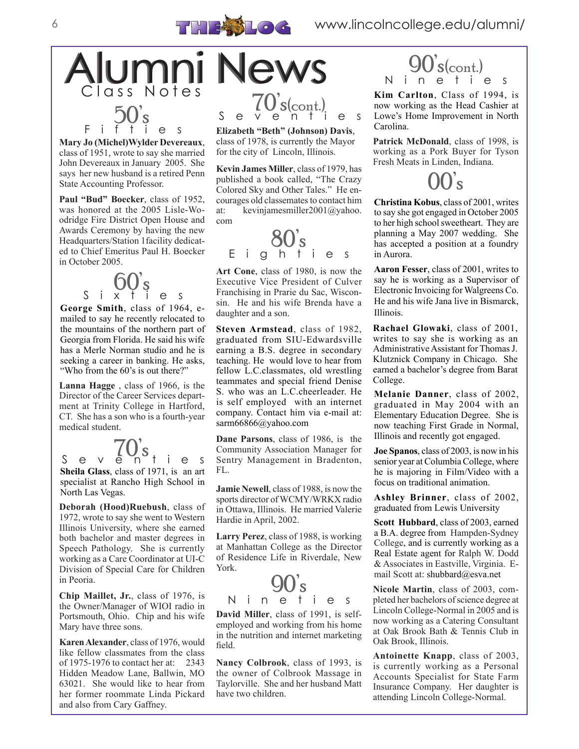



**Mary Jo (Michel)Wylder Devereaux**, class of 1951, wrote to say she married John Devereaux in January 2005. She says her new husband is a retired Penn State Accounting Professor.

**Paul "Bud" Boecker**, class of 1952, was honored at the 2005 Lisle-Woodridge Fire District Open House and Awards Ceremony by having the new Headquarters/Station 1facility dedicated to Chief Emeritus Paul H. Boecker in October 2005.

 $\mathcal{S}$  i  $\mathcal{S}$   $\mathbf{O}$   $\mathcal{S}$  e s

**George Smith**, class of 1964, emailed to say he recently relocated to the mountains of the northern part of Georgia from Florida. He said his wife has a Merle Norman studio and he is seeking a career in banking. He asks, "Who from the 60's is out there?"

**Lanna Hagge** , class of 1966, is the Director of the Career Services department at Trinity College in Hartford, CT. She has a son who is a fourth-year medical student.

**Sheila Glass**, class of 1971, is an art specialist at Rancho High School in North Las Vegas. S e v e n<sup>S</sup>ties

**Deborah (Hood)Ruebush**, class of 1972, wrote to say she went to Western Illinois University, where she earned both bachelor and master degrees in Speech Pathology. She is currently working as a Care Coordinator at UI-C Division of Special Care for Children in Peoria.

**Chip Maillet, Jr.**, class of 1976, is the Owner/Manager of WIOI radio in Portsmouth, Ohio. Chip and his wife Mary have three sons.

**Karen Alexander**, class of 1976, would like fellow classmates from the class of 1975-1976 to contact her at: 2343 Hidden Meadow Lane, Ballwin, MO 63021. She would like to hear from her former roommate Linda Pickard and also from Cary Gaffney.



**Elizabeth "Beth" (Johnson) Davis**, class of 1978, is currently the Mayor for the city of Lincoln, Illinois.

**Kevin James Miller**, class of 1979, has published a book called, "The Crazy Colored Sky and Other Tales." He encourages old classemates to contact him at: kevinjamesmiller2001@yahoo. com



**Art Cone**, class of 1980, is now the Executive Vice President of Culver Franchising in Prarie du Sac, Wisconsin. He and his wife Brenda have a daughter and a son.

**Steven Armstead**, class of 1982, graduated from SIU-Edwardsville earning a B.S. degree in secondary teaching. He would love to hear from fellow L.C.classmates, old wrestling teammates and special friend Denise S. who was an L.C.cheerleader. He is self employed with an internet company. Contact him via e-mail at: sarm66866@yahoo.com

**Dane Parsons**, class of 1986, is the Community Association Manager for Sentry Management in Bradenton, FL.

**Jamie Newell**, class of 1988, is now the sports director of WCMY/WRKX radio in Ottawa, Illinois. He married Valerie Hardie in April, 2002.

**Larry Perez**, class of 1988, is working at Manhattan College as the Director of Residence Life in Riverdale, New York.



**David Miller**, class of 1991, is selfemployed and working from his home in the nutrition and internet marketing field.

**Nancy Colbrook**, class of 1993, is the owner of Colbrook Massage in Taylorville. She and her husband Matt have two children.



**Kim Carlton**, Class of 1994, is now working as the Head Cashier at Lowe's Home Improvement in North Carolina.

Patrick McDonald, class of 1998, is working as a Pork Buyer for Tyson Fresh Meats in Linden, Indiana.

00's

**Christina Kobus**, class of 2001, writes to say she got engaged in October 2005 to her high school sweetheart. They are planning a May 2007 wedding. She has accepted a position at a foundry in Aurora.

**Aaron Fesser**, class of 2001, writes to say he is working as a Supervisor of Electronic Invoicing for Walgreens Co. He and his wife Jana live in Bismarck, Illinois.

**Rachael Glowaki**, class of 2001, writes to say she is working as an Administrative Assistant for Thomas J. Klutznick Company in Chicago. She earned a bachelor's degree from Barat College.

**Melanie Danner**, class of 2002, graduated in May 2004 with an Elementary Education Degree. She is now teaching First Grade in Normal, Illinois and recently got engaged.

**Joe Spanos**, class of 2003, is now in his senior year at Columbia College, where he is majoring in Film/Video with a focus on traditional animation.

**Ashley Brinner**, class of 2002, graduated from Lewis University

**Scott Hubbard**, class of 2003, earned a B.A. degree from Hampden-Sydney College, and is currently working as a Real Estate agent for Ralph W. Dodd & Associates in Eastville, Virginia. Email Scott at: shubbard@esva.net

**Nicole Martin**, class of 2003, completed her bachelors of science degree at Lincoln College-Normal in 2005 and is now working as a Catering Consultant at Oak Brook Bath & Tennis Club in Oak Brook, Illinois.

**Antoinette Knapp**, class of 2003, is currently working as a Personal Accounts Specialist for State Farm Insurance Company. Her daughter is attending Lincoln College-Normal.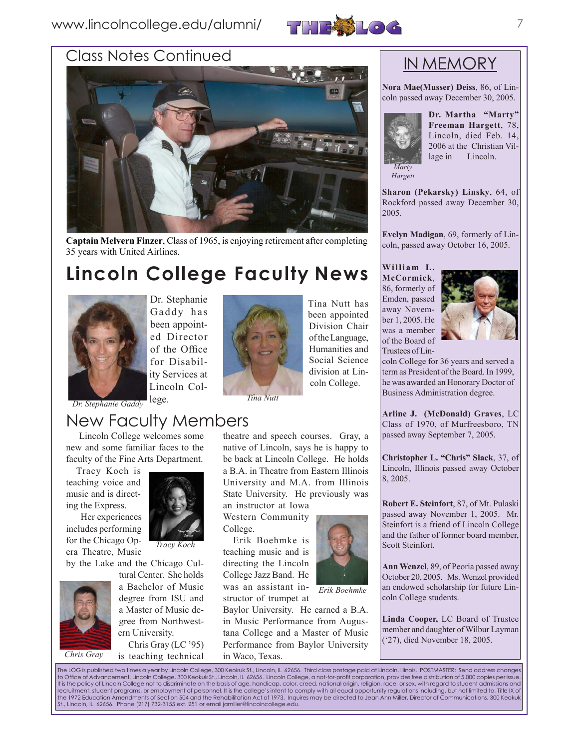### www.lincolncollege.edu/alumni/ 777733106



### Class Notes Continued



**Captain Melvern Finzer**, Class of 1965, is enjoying retirement after completing 35 years with United Airlines.

# **Lincoln College Faculty News**



Dr. Stephanie Gaddy has been appointed Director of the Office for Disability Services at Lincoln Col-



Tina Nutt has been appointed Division Chair of the Language, Humanities and Social Science division at Lincoln College.

lege. *Dr. Stephanie Gaddy Tina Nutt*

### New Faculty Members

 Lincoln College welcomes some new and some familiar faces to the faculty of the Fine Arts Department.

Tracy Koch is teaching voice and music and is directing the Express.

 Her experiences includes performing for the Chicago Opera Theatre, Music



*Tracy Koch*

by the Lake and the Chicago Cul-

tural Center. She holds a Bachelor of Music degree from ISU and a Master of Music degree from Northwestern University.

Chris Gray (LC '95) Chris Gray is teaching technical in Waco, Texas.

theatre and speech courses. Gray, a native of Lincoln, says he is happy to be back at Lincoln College. He holds a B.A. in Theatre from Eastern Illinois University and M.A. from Illinois State University. He previously was an instructor at Iowa

Western Community College.

Erik Boehmke is teaching music and is directing the Lincoln College Jazz Band. He was an assistant instructor of trumpet at

Baylor University. He earned a B.A. in Music Performance from Augustana College and a Master of Music Performance from Baylor University



*Erik Boehmke*

passed away November 1, 2005. Mr. Steinfort is a friend of Lincoln College and the father of former board member, Scott Steinfort.

8, 2005.

**Ann Wenzel**, 89, of Peoria passed away October 20, 2005. Ms. Wenzel provided an endowed scholarship for future Lin-

**Christopher L. "Chris" Slack**, 37, of Lincoln, Illinois passed away October

**Robert E. Steinfort**, 87, of Mt. Pulaski

**Arline J. (McDonald) Graves**, LC Class of 1970, of Murfreesboro, TN passed away September 7, 2005.

coln College for 36 years and served a term as President of the Board. In 1999, he was awarded an Honorary Doctor of Business Administration degree.

**Linda Cooper,** LC Board of Trustee member and daughter of Wilbur Layman ('27), died November 18, 2005.

coln College students.

The LOG is published two times a year by Lincoln College, 300 Keokuk St., Lincoln, IL 62656. Third class postage paid at Lincoln, Illinois. POSTMASTER: Send address changes<br>to Office of Advancement, Lincoln College, 300 Ke recruitment, student programs, or employment of personnel. It is the college's intent to comply with all equal opportunity regulations including, but not limited to, Title IX of<br>the 1972 Education Amendments of Section 504 St., Lincoln, IL 62656. Phone (217) 732-3155 ext. 251 or email jamiller@lincolncollege.edu.

### IN MEMORY

**Nora Mae(Musser) Deiss**, 86, of Lincoln passed away December 30, 2005.



**Dr. Martha "Marty" Freeman Hargett**, 78, Lincoln, died Feb. 14, 2006 at the Christian Vil-

*Hargett*

lage in Lincoln.

**Sharon (Pekarsky) Linsky**, 64, of Rockford passed away December 30, 2005.

**Evelyn Madigan**, 69, formerly of Lincoln, passed away October 16, 2005.

### William L.

**McCormick**, 86, formerly of Emden, passed away November 1, 2005. He was a member of the Board of Trustees of Lin-